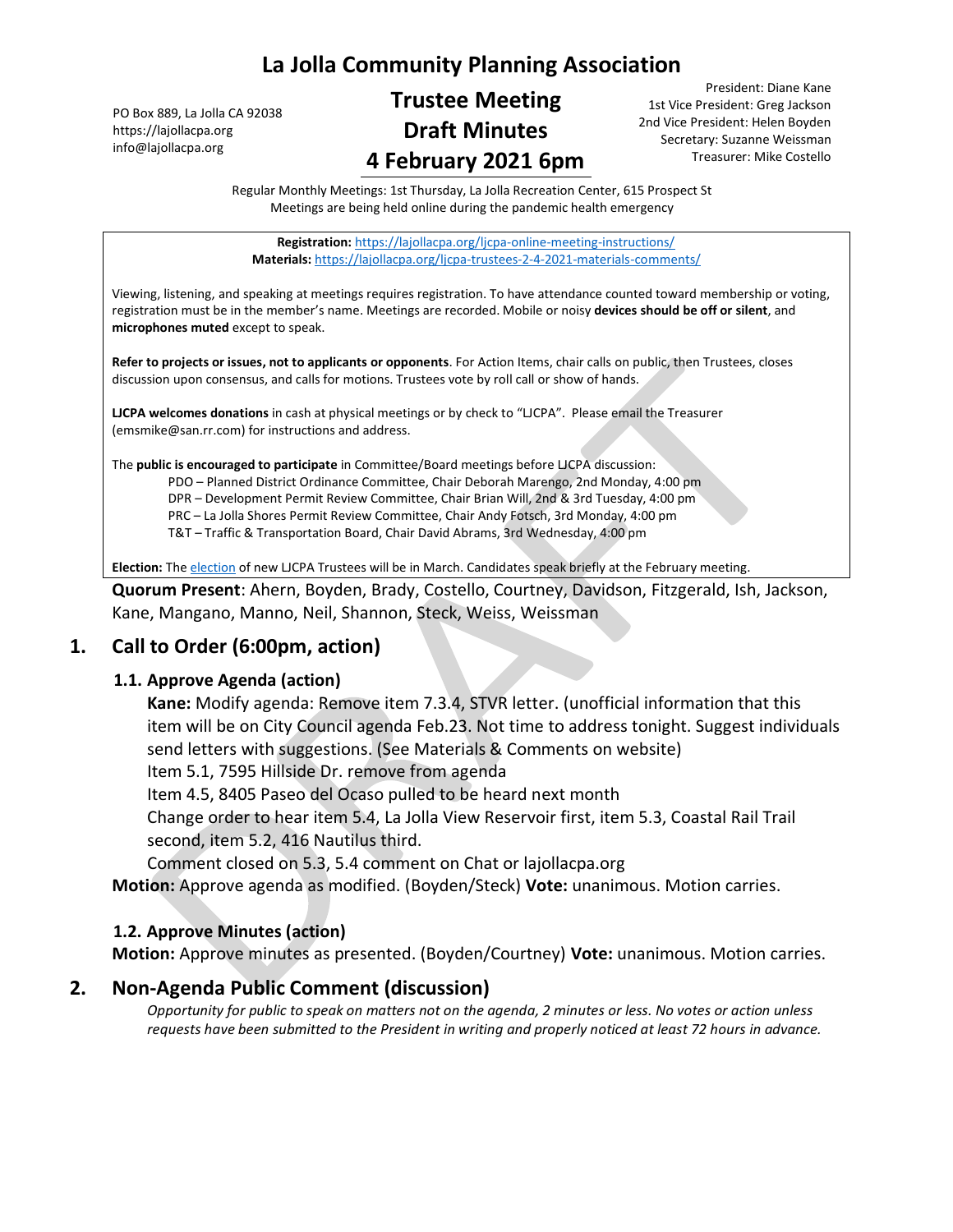# **La Jolla Community Planning Association**

PO Box 889, La Jolla CA 92038 https://lajollacpa.org info@lajollacpa.org

# **Trustee Meeting Draft Minutes 4 February 2021 6pm**

President: Diane Kane 1st Vice President: Greg Jackson 2nd Vice President: Helen Boyden Secretary: Suzanne Weissman Treasurer: Mike Costello

Regular Monthly Meetings: 1st Thursday, La Jolla Recreation Center, 615 Prospect St Meetings are being held online during the pandemic health emergency

**Registration:** <https://lajollacpa.org/ljcpa-online-meeting-instructions/> **Materials:** <https://lajollacpa.org/ljcpa-trustees-2-4-2021-materials-comments/>

Viewing, listening, and speaking at meetings requires registration. To have attendance counted toward membership or voting, registration must be in the member's name. Meetings are recorded. Mobile or noisy **devices should be off or silent**, and **microphones muted** except to speak.

**Refer to projects or issues, not to applicants or opponents**. For Action Items, chair calls on public, then Trustees, closes discussion upon consensus, and calls for motions. Trustees vote by roll call or show of hands.

**LJCPA welcomes donations** in cash at physical meetings or by check to "LJCPA". Please email the Treasurer (emsmike@san.rr.com) for instructions and address.

The **public is encouraged to participate** in Committee/Board meetings before LJCPA discussion:

PDO – Planned District Ordinance Committee, Chair Deborah Marengo, 2nd Monday, 4:00 pm

DPR – Development Permit Review Committee, Chair Brian Will, 2nd & 3rd Tuesday, 4:00 pm

PRC – La Jolla Shores Permit Review Committee, Chair Andy Fotsch, 3rd Monday, 4:00 pm

T&T – Traffic & Transportation Board, Chair David Abrams, 3rd Wednesday, 4:00 pm

**Election:** Th[e election](https://lajollacpa.org/about/elections/) of new LJCPA Trustees will be in March. Candidates speak briefly at the February meeting.

**Quorum Present**: Ahern, Boyden, Brady, Costello, Courtney, Davidson, Fitzgerald, Ish, Jackson, Kane, Mangano, Manno, Neil, Shannon, Steck, Weiss, Weissman

### **1. Call to Order (6:00pm, action)**

#### **1.1. Approve Agenda (action)**

**Kane:** Modify agenda: Remove item 7.3.4, STVR letter. (unofficial information that this item will be on City Council agenda Feb.23. Not time to address tonight. Suggest individuals send letters with suggestions. (See Materials & Comments on website)

Item 5.1, 7595 Hillside Dr. remove from agenda

Item 4.5, 8405 Paseo del Ocaso pulled to be heard next month

Change order to hear item 5.4, La Jolla View Reservoir first, item 5.3, Coastal Rail Trail second, item 5.2, 416 Nautilus third.

Comment closed on 5.3, 5.4 comment on Chat or lajollacpa.org

**Motion:** Approve agenda as modified. (Boyden/Steck) **Vote:** unanimous. Motion carries.

#### **1.2. Approve Minutes (action)**

**Motion:** Approve minutes as presented. (Boyden/Courtney) **Vote:** unanimous. Motion carries.

### **2. Non-Agenda Public Comment (discussion)**

*Opportunity for public to speak on matters not on the agenda, 2 minutes or less. No votes or action unless requests have been submitted to the President in writing and properly noticed at least 72 hours in advance.*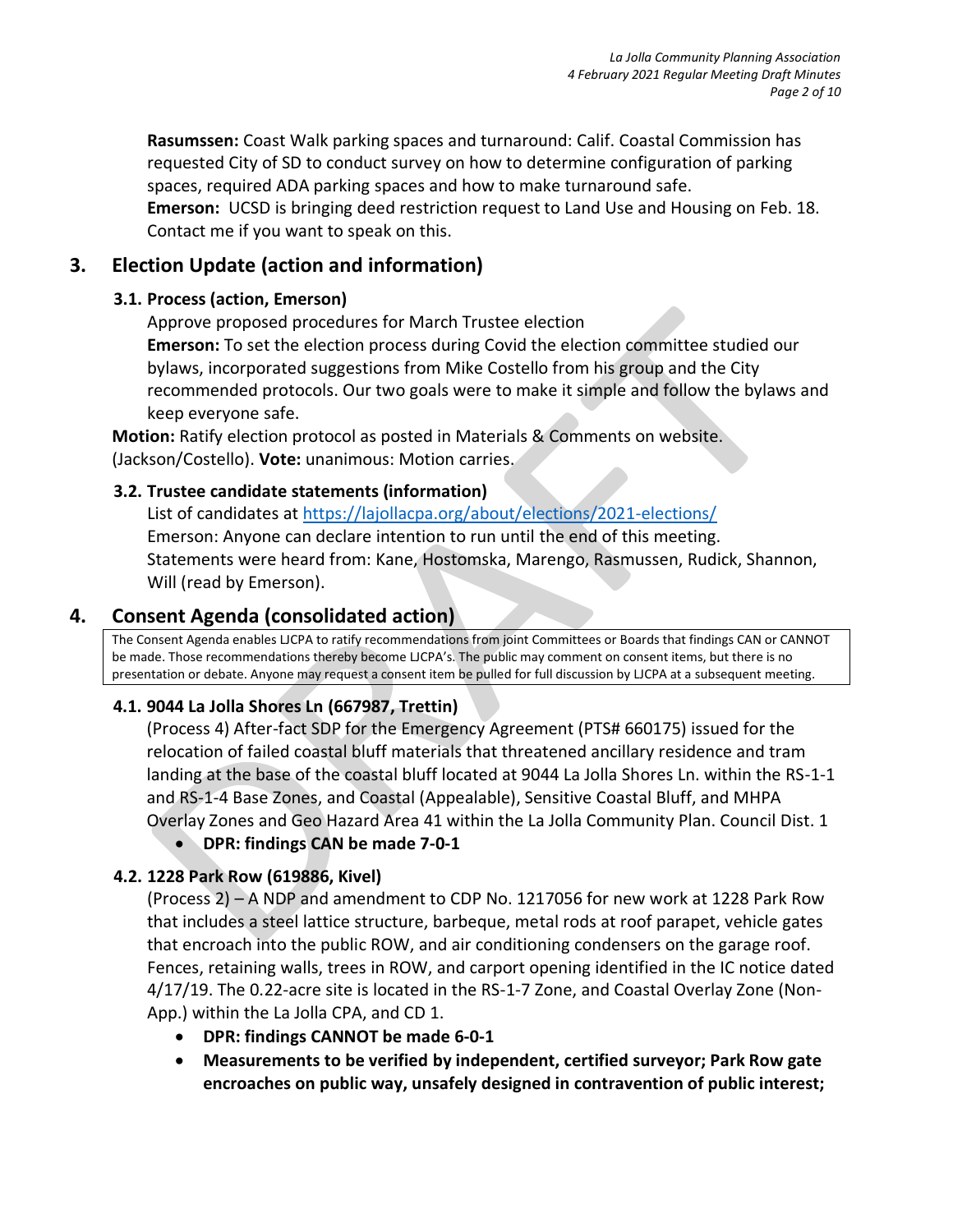**Rasumssen:** Coast Walk parking spaces and turnaround: Calif. Coastal Commission has requested City of SD to conduct survey on how to determine configuration of parking spaces, required ADA parking spaces and how to make turnaround safe.

**Emerson:** UCSD is bringing deed restriction request to Land Use and Housing on Feb. 18. Contact me if you want to speak on this.

## **3. Election Update (action and information)**

#### **3.1. Process (action, Emerson)**

Approve proposed procedures for March Trustee election **Emerson:** To set the election process during Covid the election committee studied our bylaws, incorporated suggestions from Mike Costello from his group and the City recommended protocols. Our two goals were to make it simple and follow the bylaws and keep everyone safe.

**Motion:** Ratify election protocol as posted in Materials & Comments on website. (Jackson/Costello). **Vote:** unanimous: Motion carries.

#### **3.2. Trustee candidate statements (information)**

List of candidates at<https://lajollacpa.org/about/elections/2021-elections/> Emerson: Anyone can declare intention to run until the end of this meeting. Statements were heard from: Kane, Hostomska, Marengo, Rasmussen, Rudick, Shannon, Will (read by Emerson).

## **4. Consent Agenda (consolidated action)**

The Consent Agenda enables LJCPA to ratify recommendations from joint Committees or Boards that findings CAN or CANNOT be made. Those recommendations thereby become LJCPA's. The public may comment on consent items, but there is no presentation or debate. Anyone may request a consent item be pulled for full discussion by LJCPA at a subsequent meeting.

### **4.1. 9044 La Jolla Shores Ln (667987, Trettin)**

(Process 4) After-fact SDP for the Emergency Agreement (PTS# 660175) issued for the relocation of failed coastal bluff materials that threatened ancillary residence and tram landing at the base of the coastal bluff located at 9044 La Jolla Shores Ln. within the RS-1-1 and RS-1-4 Base Zones, and Coastal (Appealable), Sensitive Coastal Bluff, and MHPA Overlay Zones and Geo Hazard Area 41 within the La Jolla Community Plan. Council Dist. 1

### • **DPR: findings CAN be made 7-0-1**

### **4.2. 1228 Park Row (619886, Kivel)**

(Process 2) – A NDP and amendment to CDP No. 1217056 for new work at 1228 Park Row that includes a steel lattice structure, barbeque, metal rods at roof parapet, vehicle gates that encroach into the public ROW, and air conditioning condensers on the garage roof. Fences, retaining walls, trees in ROW, and carport opening identified in the IC notice dated 4/17/19. The 0.22-acre site is located in the RS-1-7 Zone, and Coastal Overlay Zone (Non-App.) within the La Jolla CPA, and CD 1.

- **DPR: findings CANNOT be made 6-0-1**
- **Measurements to be verified by independent, certified surveyor; Park Row gate encroaches on public way, unsafely designed in contravention of public interest;**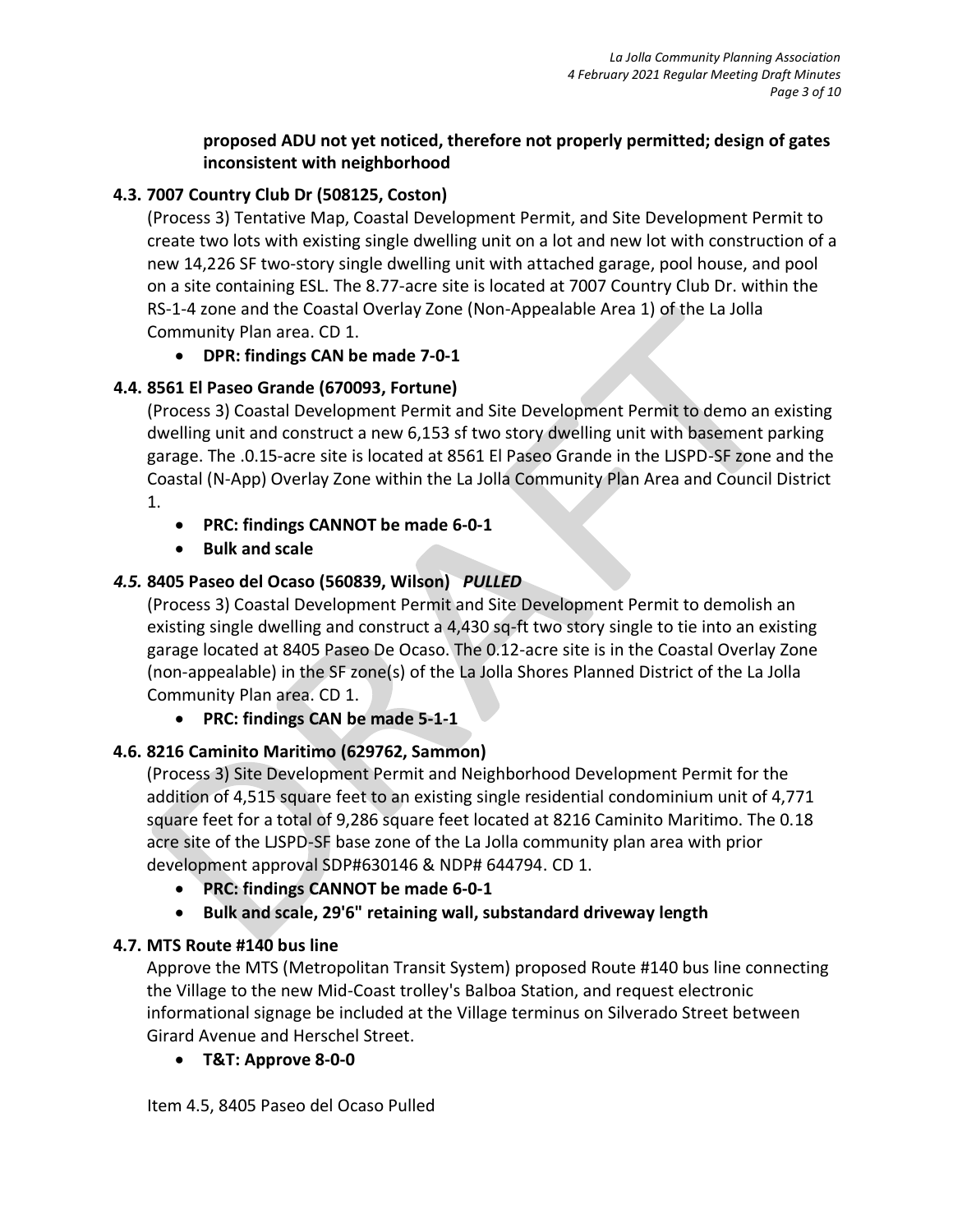#### **proposed ADU not yet noticed, therefore not properly permitted; design of gates inconsistent with neighborhood**

### **4.3. 7007 Country Club Dr (508125, Coston)**

(Process 3) Tentative Map, Coastal Development Permit, and Site Development Permit to create two lots with existing single dwelling unit on a lot and new lot with construction of a new 14,226 SF two-story single dwelling unit with attached garage, pool house, and pool on a site containing ESL. The 8.77-acre site is located at 7007 Country Club Dr. within the RS-1-4 zone and the Coastal Overlay Zone (Non-Appealable Area 1) of the La Jolla Community Plan area. CD 1.

• **DPR: findings CAN be made 7-0-1**

## **4.4. 8561 El Paseo Grande (670093, Fortune)**

(Process 3) Coastal Development Permit and Site Development Permit to demo an existing dwelling unit and construct a new 6,153 sf two story dwelling unit with basement parking garage. The .0.15-acre site is located at 8561 El Paseo Grande in the LJSPD-SF zone and the Coastal (N-App) Overlay Zone within the La Jolla Community Plan Area and Council District 1.

- **PRC: findings CANNOT be made 6-0-1**
- **Bulk and scale**

## *4.5.* **8405 Paseo del Ocaso (560839, Wilson)** *PULLED*

(Process 3) Coastal Development Permit and Site Development Permit to demolish an existing single dwelling and construct a 4,430 sq-ft two story single to tie into an existing garage located at 8405 Paseo De Ocaso. The 0.12-acre site is in the Coastal Overlay Zone (non-appealable) in the SF zone(s) of the La Jolla Shores Planned District of the La Jolla Community Plan area. CD 1.

• **PRC: findings CAN be made 5-1-1**

## **4.6. 8216 Caminito Maritimo (629762, Sammon)**

(Process 3) Site Development Permit and Neighborhood Development Permit for the addition of 4,515 square feet to an existing single residential condominium unit of 4,771 square feet for a total of 9,286 square feet located at 8216 Caminito Maritimo. The 0.18 acre site of the LJSPD-SF base zone of the La Jolla community plan area with prior development approval SDP#630146 & NDP# 644794. CD 1.

- **PRC: findings CANNOT be made 6-0-1**
- **Bulk and scale, 29'6" retaining wall, substandard driveway length**

## **4.7. MTS Route #140 bus line**

Approve the MTS (Metropolitan Transit System) proposed Route #140 bus line connecting the Village to the new Mid-Coast trolley's Balboa Station, and request electronic informational signage be included at the Village terminus on Silverado Street between Girard Avenue and Herschel Street.

• **T&T: Approve 8-0-0**

Item 4.5, 8405 Paseo del Ocaso Pulled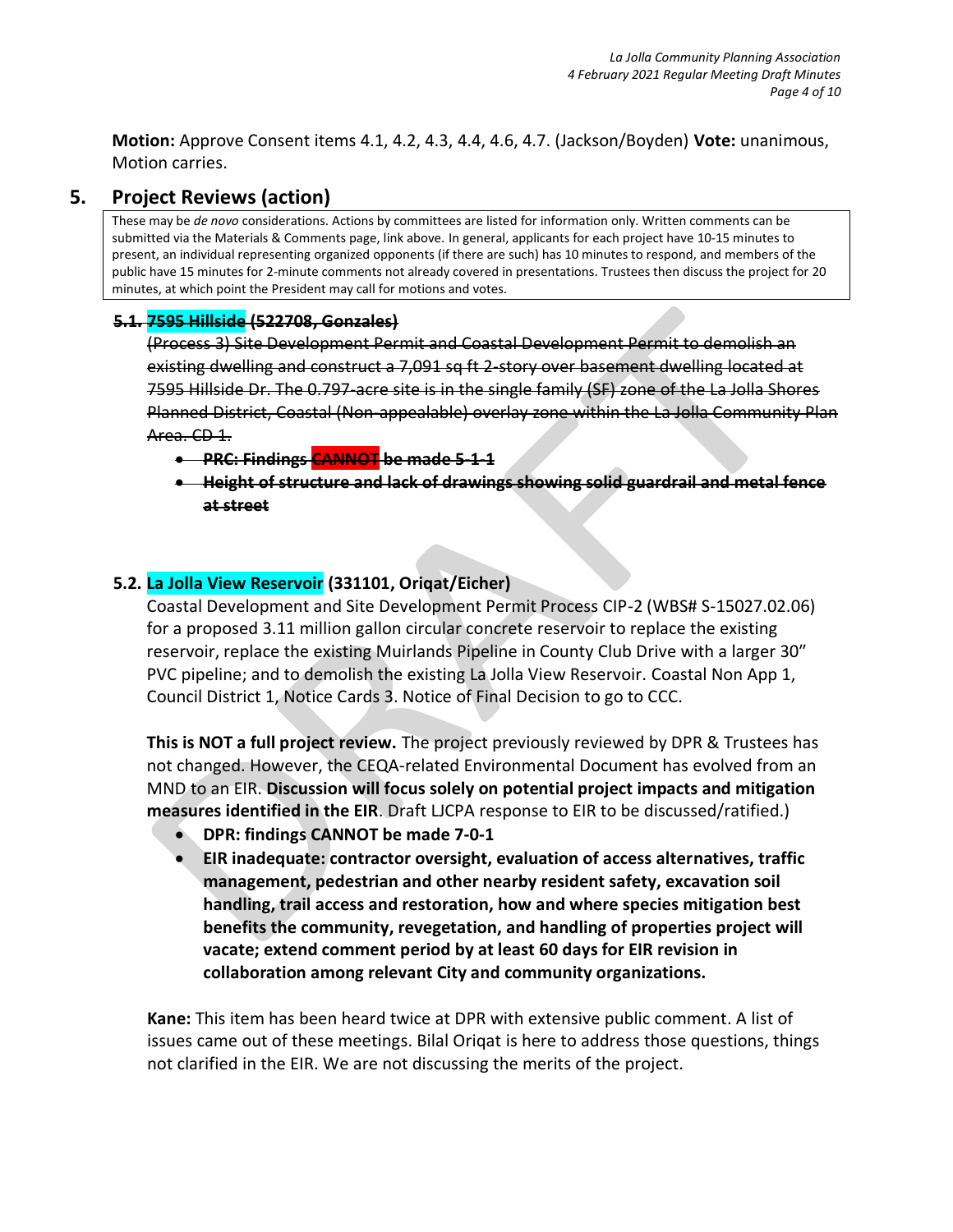**Motion:** Approve Consent items 4.1, 4.2, 4.3, 4.4, 4.6, 4.7. (Jackson/Boyden) **Vote:** unanimous, Motion carries.

## **5. Project Reviews (action)**

These may be *de novo* considerations. Actions by committees are listed for information only. Written comments can be submitted via the Materials & Comments page, link above. In general, applicants for each project have 10-15 minutes to present, an individual representing organized opponents (if there are such) has 10 minutes to respond, and members of the public have 15 minutes for 2-minute comments not already covered in presentations. Trustees then discuss the project for 20 minutes, at which point the President may call for motions and votes.

#### **5.1. 7595 Hillside (522708, Gonzales)**

(Process 3) Site Development Permit and Coastal Development Permit to demolish an existing dwelling and construct a 7,091 sq ft 2-story over basement dwelling located at 7595 Hillside Dr. The 0.797-acre site is in the single family (SF) zone of the La Jolla Shores Planned District, Coastal (Non-appealable) overlay zone within the La Jolla Community Plan Area. CD 1.

- **PRC: Findings CANNOT be made 5-1-1**
- **Height of structure and lack of drawings showing solid guardrail and metal fence at street**

#### **5.2. La Jolla View Reservoir (331101, Oriqat/Eicher)**

Coastal Development and Site Development Permit Process CIP-2 (WBS# S-15027.02.06) for a proposed 3.11 million gallon circular concrete reservoir to replace the existing reservoir, replace the existing Muirlands Pipeline in County Club Drive with a larger 30″ PVC pipeline; and to demolish the existing La Jolla View Reservoir. Coastal Non App 1, Council District 1, Notice Cards 3. Notice of Final Decision to go to CCC.

**This is NOT a full project review.** The project previously reviewed by DPR & Trustees has not changed. However, the CEQA-related Environmental Document has evolved from an MND to an EIR. **Discussion will focus solely on potential project impacts and mitigation measures identified in the EIR**. Draft LJCPA response to EIR to be discussed/ratified.)

- **DPR: findings CANNOT be made 7-0-1**
- **EIR inadequate: contractor oversight, evaluation of access alternatives, traffic management, pedestrian and other nearby resident safety, excavation soil handling, trail access and restoration, how and where species mitigation best benefits the community, revegetation, and handling of properties project will vacate; extend comment period by at least 60 days for EIR revision in collaboration among relevant City and community organizations.**

**Kane:** This item has been heard twice at DPR with extensive public comment. A list of issues came out of these meetings. Bilal Oriqat is here to address those questions, things not clarified in the EIR. We are not discussing the merits of the project.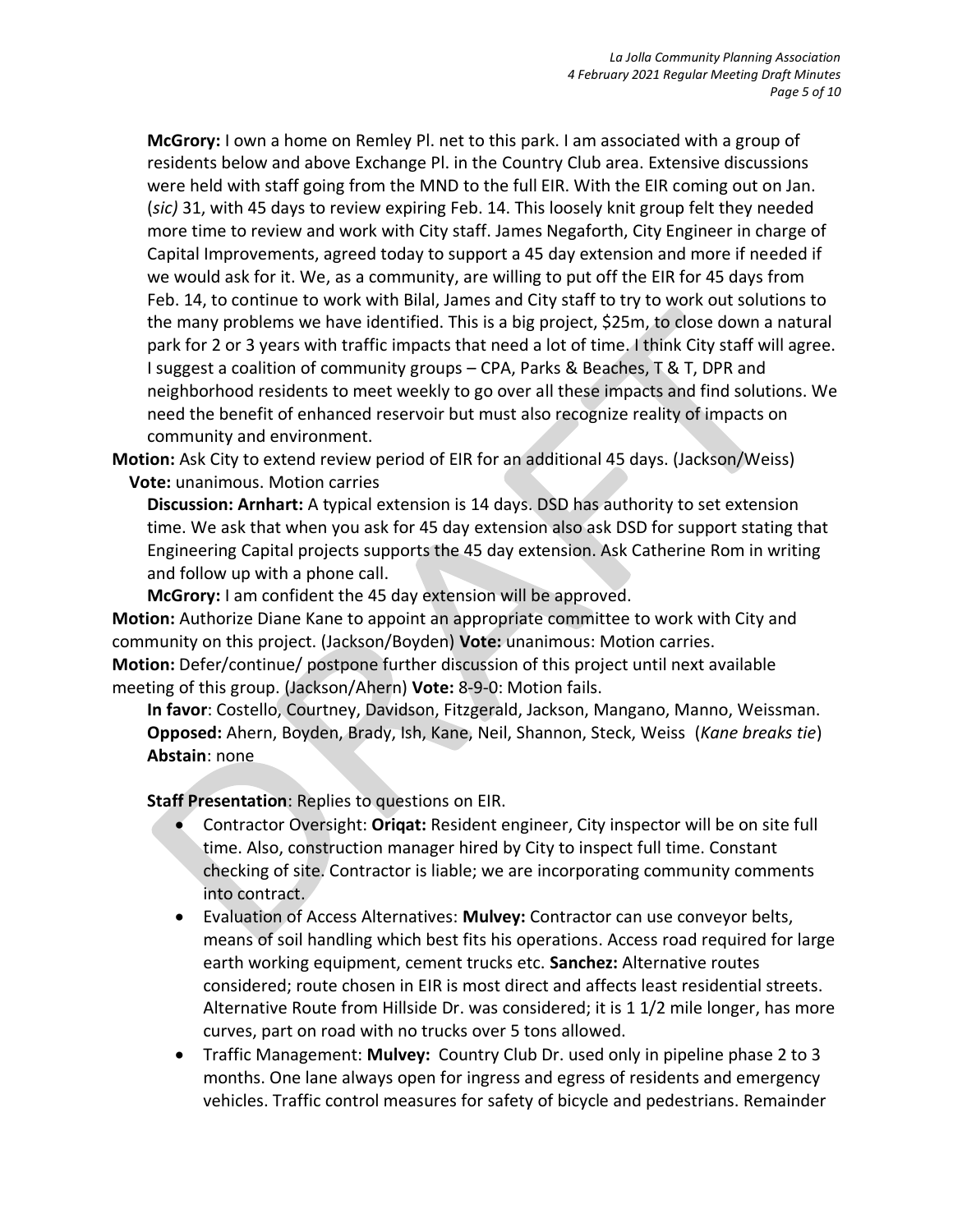**McGrory:** I own a home on Remley Pl. net to this park. I am associated with a group of residents below and above Exchange Pl. in the Country Club area. Extensive discussions were held with staff going from the MND to the full EIR. With the EIR coming out on Jan. (*sic)* 31, with 45 days to review expiring Feb. 14. This loosely knit group felt they needed more time to review and work with City staff. James Negaforth, City Engineer in charge of Capital Improvements, agreed today to support a 45 day extension and more if needed if we would ask for it. We, as a community, are willing to put off the EIR for 45 days from Feb. 14, to continue to work with Bilal, James and City staff to try to work out solutions to the many problems we have identified. This is a big project, \$25m, to close down a natural park for 2 or 3 years with traffic impacts that need a lot of time. I think City staff will agree. I suggest a coalition of community groups – CPA, Parks & Beaches, T & T, DPR and neighborhood residents to meet weekly to go over all these impacts and find solutions. We need the benefit of enhanced reservoir but must also recognize reality of impacts on community and environment.

**Motion:** Ask City to extend review period of EIR for an additional 45 days. (Jackson/Weiss) **Vote:** unanimous. Motion carries

**Discussion: Arnhart:** A typical extension is 14 days. DSD has authority to set extension time. We ask that when you ask for 45 day extension also ask DSD for support stating that Engineering Capital projects supports the 45 day extension. Ask Catherine Rom in writing and follow up with a phone call.

**McGrory:** I am confident the 45 day extension will be approved.

**Motion:** Authorize Diane Kane to appoint an appropriate committee to work with City and community on this project. (Jackson/Boyden) **Vote:** unanimous: Motion carries. **Motion:** Defer/continue/ postpone further discussion of this project until next available meeting of this group. (Jackson/Ahern) **Vote:** 8-9-0: Motion fails.

**In favor**: Costello, Courtney, Davidson, Fitzgerald, Jackson, Mangano, Manno, Weissman. **Opposed:** Ahern, Boyden, Brady, Ish, Kane, Neil, Shannon, Steck, Weiss (*Kane breaks tie*) **Abstain**: none

**Staff Presentation**: Replies to questions on EIR.

- Contractor Oversight: **Oriqat:** Resident engineer, City inspector will be on site full time. Also, construction manager hired by City to inspect full time. Constant checking of site. Contractor is liable; we are incorporating community comments into contract.
- Evaluation of Access Alternatives: **Mulvey:** Contractor can use conveyor belts, means of soil handling which best fits his operations. Access road required for large earth working equipment, cement trucks etc. **Sanchez:** Alternative routes considered; route chosen in EIR is most direct and affects least residential streets. Alternative Route from Hillside Dr. was considered; it is 1 1/2 mile longer, has more curves, part on road with no trucks over 5 tons allowed.
- Traffic Management: **Mulvey:** Country Club Dr. used only in pipeline phase 2 to 3 months. One lane always open for ingress and egress of residents and emergency vehicles. Traffic control measures for safety of bicycle and pedestrians. Remainder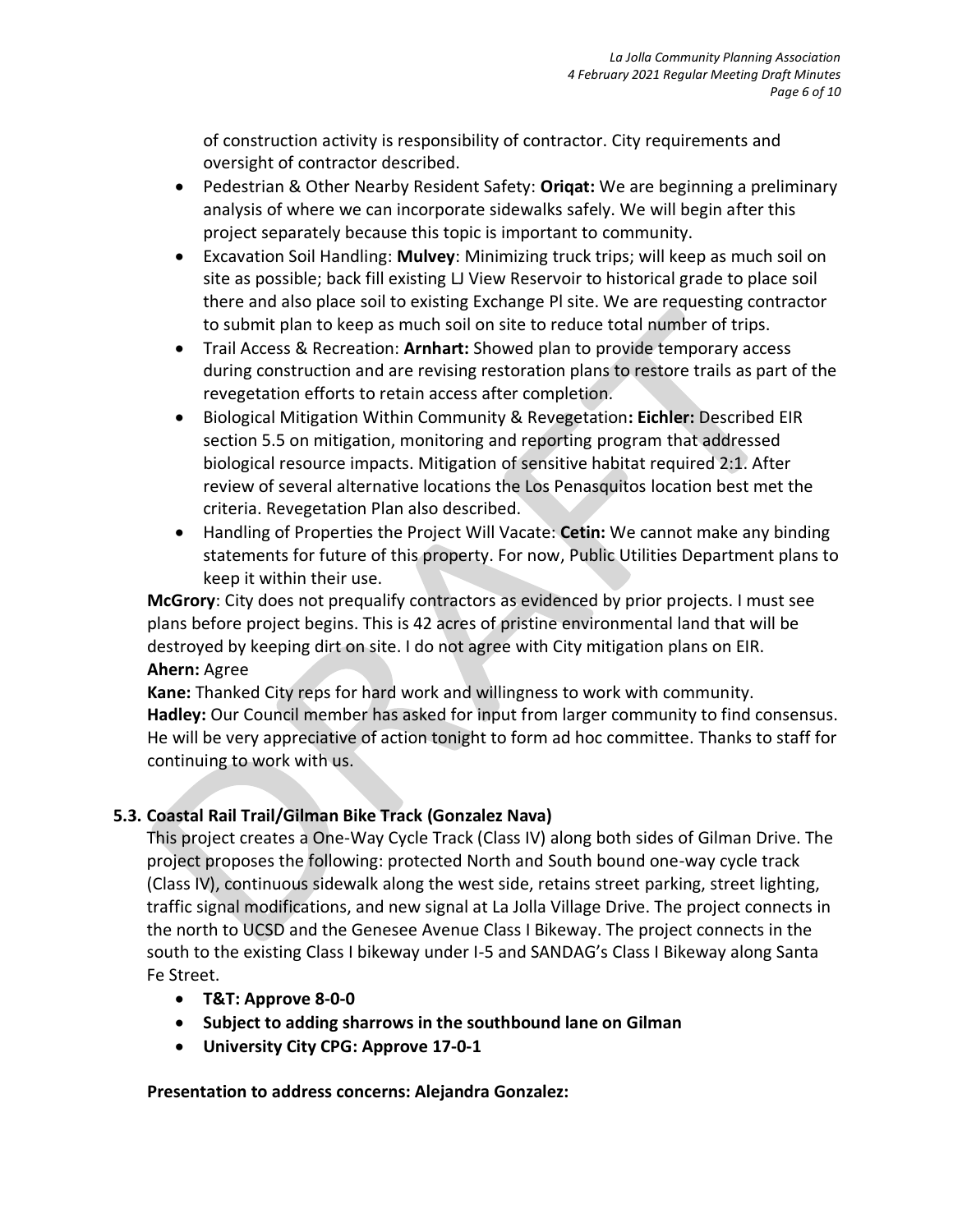of construction activity is responsibility of contractor. City requirements and oversight of contractor described.

- Pedestrian & Other Nearby Resident Safety: **Oriqat:** We are beginning a preliminary analysis of where we can incorporate sidewalks safely. We will begin after this project separately because this topic is important to community.
- Excavation Soil Handling: **Mulvey**: Minimizing truck trips; will keep as much soil on site as possible; back fill existing LJ View Reservoir to historical grade to place soil there and also place soil to existing Exchange Pl site. We are requesting contractor to submit plan to keep as much soil on site to reduce total number of trips.
- Trail Access & Recreation: **Arnhart:** Showed plan to provide temporary access during construction and are revising restoration plans to restore trails as part of the revegetation efforts to retain access after completion.
- Biological Mitigation Within Community & Revegetation**: Eichler:** Described EIR section 5.5 on mitigation, monitoring and reporting program that addressed biological resource impacts. Mitigation of sensitive habitat required 2:1. After review of several alternative locations the Los Penasquitos location best met the criteria. Revegetation Plan also described.
- Handling of Properties the Project Will Vacate: **Cetin:** We cannot make any binding statements for future of this property. For now, Public Utilities Department plans to keep it within their use.

**McGrory**: City does not prequalify contractors as evidenced by prior projects. I must see plans before project begins. This is 42 acres of pristine environmental land that will be destroyed by keeping dirt on site. I do not agree with City mitigation plans on EIR. **Ahern:** Agree

**Kane:** Thanked City reps for hard work and willingness to work with community. **Hadley:** Our Council member has asked for input from larger community to find consensus. He will be very appreciative of action tonight to form ad hoc committee. Thanks to staff for continuing to work with us.

### **5.3. Coastal Rail Trail/Gilman Bike Track (Gonzalez Nava)**

This project creates a One-Way Cycle Track (Class IV) along both sides of Gilman Drive. The project proposes the following: protected North and South bound one-way cycle track (Class IV), continuous sidewalk along the west side, retains street parking, street lighting, traffic signal modifications, and new signal at La Jolla Village Drive. The project connects in the north to UCSD and the Genesee Avenue Class I Bikeway. The project connects in the south to the existing Class I bikeway under I-5 and SANDAG's Class I Bikeway along Santa Fe Street.

- **T&T: Approve 8-0-0**
- **Subject to adding sharrows in the southbound lane on Gilman**
- **University City CPG: Approve 17-0-1**

**Presentation to address concerns: Alejandra Gonzalez:**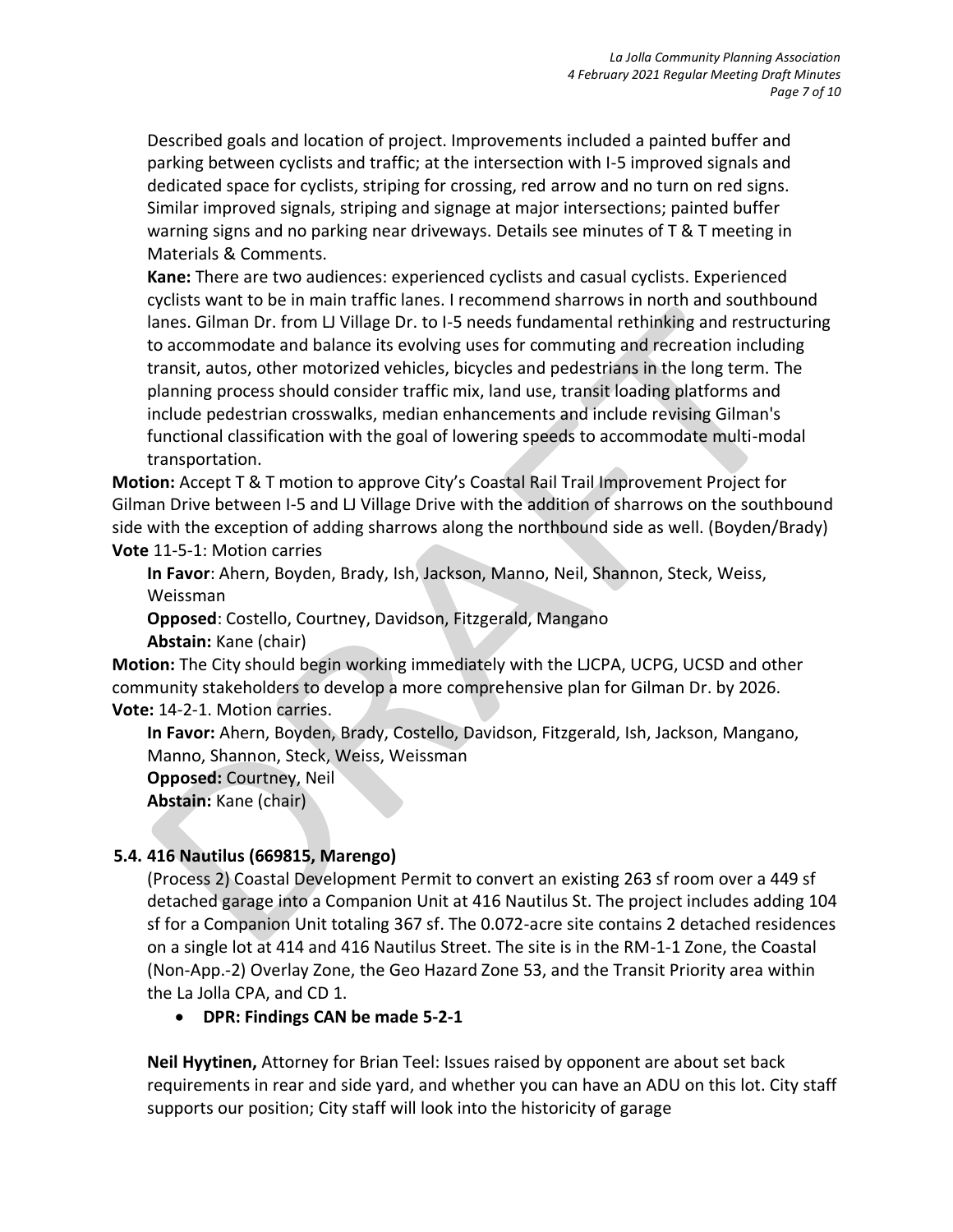Described goals and location of project. Improvements included a painted buffer and parking between cyclists and traffic; at the intersection with I-5 improved signals and dedicated space for cyclists, striping for crossing, red arrow and no turn on red signs. Similar improved signals, striping and signage at major intersections; painted buffer warning signs and no parking near driveways. Details see minutes of T & T meeting in Materials & Comments.

**Kane:** There are two audiences: experienced cyclists and casual cyclists. Experienced cyclists want to be in main traffic lanes. I recommend sharrows in north and southbound lanes. Gilman Dr. from LJ Village Dr. to I-5 needs fundamental rethinking and restructuring to accommodate and balance its evolving uses for commuting and recreation including transit, autos, other motorized vehicles, bicycles and pedestrians in the long term. The planning process should consider traffic mix, land use, transit loading platforms and include pedestrian crosswalks, median enhancements and include revising Gilman's functional classification with the goal of lowering speeds to accommodate multi-modal transportation.

**Motion:** Accept T & T motion to approve City's Coastal Rail Trail Improvement Project for Gilman Drive between I-5 and LJ Village Drive with the addition of sharrows on the southbound side with the exception of adding sharrows along the northbound side as well. (Boyden/Brady) **Vote** 11-5-1: Motion carries

**In Favor**: Ahern, Boyden, Brady, Ish, Jackson, Manno, Neil, Shannon, Steck, Weiss, Weissman

**Opposed**: Costello, Courtney, Davidson, Fitzgerald, Mangano

**Abstain:** Kane (chair)

**Motion:** The City should begin working immediately with the LJCPA, UCPG, UCSD and other community stakeholders to develop a more comprehensive plan for Gilman Dr. by 2026. **Vote:** 14-2-1. Motion carries.

**In Favor:** Ahern, Boyden, Brady, Costello, Davidson, Fitzgerald, Ish, Jackson, Mangano, Manno, Shannon, Steck, Weiss, Weissman **Opposed:** Courtney, Neil **Abstain:** Kane (chair)

#### **5.4. 416 Nautilus (669815, Marengo)**

(Process 2) Coastal Development Permit to convert an existing 263 sf room over a 449 sf detached garage into a Companion Unit at 416 Nautilus St. The project includes adding 104 sf for a Companion Unit totaling 367 sf. The 0.072-acre site contains 2 detached residences on a single lot at 414 and 416 Nautilus Street. The site is in the RM-1-1 Zone, the Coastal (Non-App.-2) Overlay Zone, the Geo Hazard Zone 53, and the Transit Priority area within the La Jolla CPA, and CD 1.

#### • **DPR: Findings CAN be made 5-2-1**

**Neil Hyytinen,** Attorney for Brian Teel: Issues raised by opponent are about set back requirements in rear and side yard, and whether you can have an ADU on this lot. City staff supports our position; City staff will look into the historicity of garage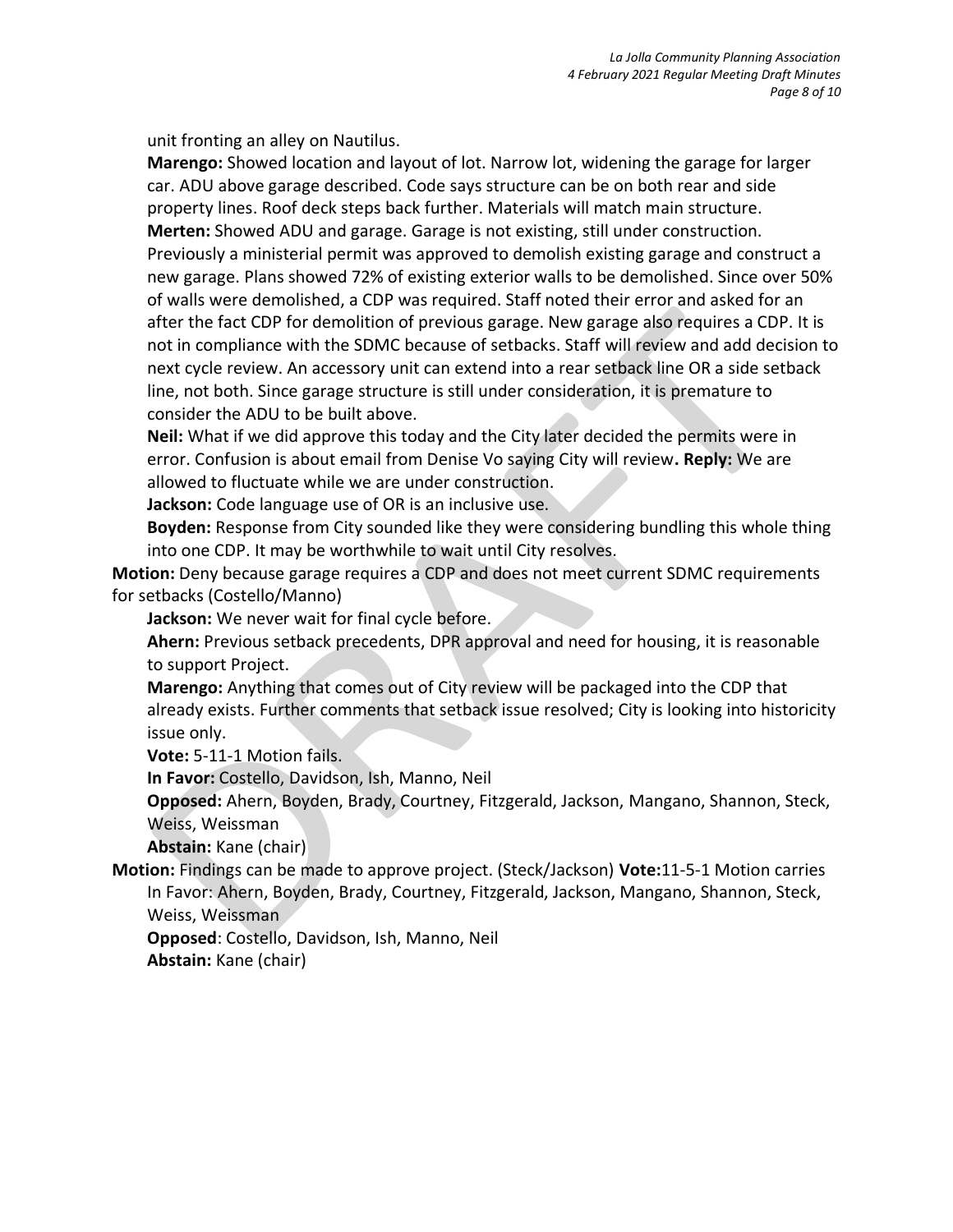unit fronting an alley on Nautilus.

**Marengo:** Showed location and layout of lot. Narrow lot, widening the garage for larger car. ADU above garage described. Code says structure can be on both rear and side property lines. Roof deck steps back further. Materials will match main structure. **Merten:** Showed ADU and garage. Garage is not existing, still under construction. Previously a ministerial permit was approved to demolish existing garage and construct a new garage. Plans showed 72% of existing exterior walls to be demolished. Since over 50% of walls were demolished, a CDP was required. Staff noted their error and asked for an after the fact CDP for demolition of previous garage. New garage also requires a CDP. It is not in compliance with the SDMC because of setbacks. Staff will review and add decision to next cycle review. An accessory unit can extend into a rear setback line OR a side setback line, not both. Since garage structure is still under consideration, it is premature to consider the ADU to be built above.

**Neil:** What if we did approve this today and the City later decided the permits were in error. Confusion is about email from Denise Vo saying City will review**. Reply:** We are allowed to fluctuate while we are under construction.

**Jackson:** Code language use of OR is an inclusive use.

**Boyden:** Response from City sounded like they were considering bundling this whole thing into one CDP. It may be worthwhile to wait until City resolves.

**Motion:** Deny because garage requires a CDP and does not meet current SDMC requirements for setbacks (Costello/Manno)

**Jackson:** We never wait for final cycle before.

**Ahern:** Previous setback precedents, DPR approval and need for housing, it is reasonable to support Project.

**Marengo:** Anything that comes out of City review will be packaged into the CDP that already exists. Further comments that setback issue resolved; City is looking into historicity issue only.

**Vote:** 5-11-1 Motion fails.

**In Favor:** Costello, Davidson, Ish, Manno, Neil

**Opposed:** Ahern, Boyden, Brady, Courtney, Fitzgerald, Jackson, Mangano, Shannon, Steck, Weiss, Weissman

**Abstain:** Kane (chair)

**Motion:** Findings can be made to approve project. (Steck/Jackson) **Vote:**11-5-1 Motion carries In Favor: Ahern, Boyden, Brady, Courtney, Fitzgerald, Jackson, Mangano, Shannon, Steck,

Weiss, Weissman

**Opposed**: Costello, Davidson, Ish, Manno, Neil

**Abstain:** Kane (chair)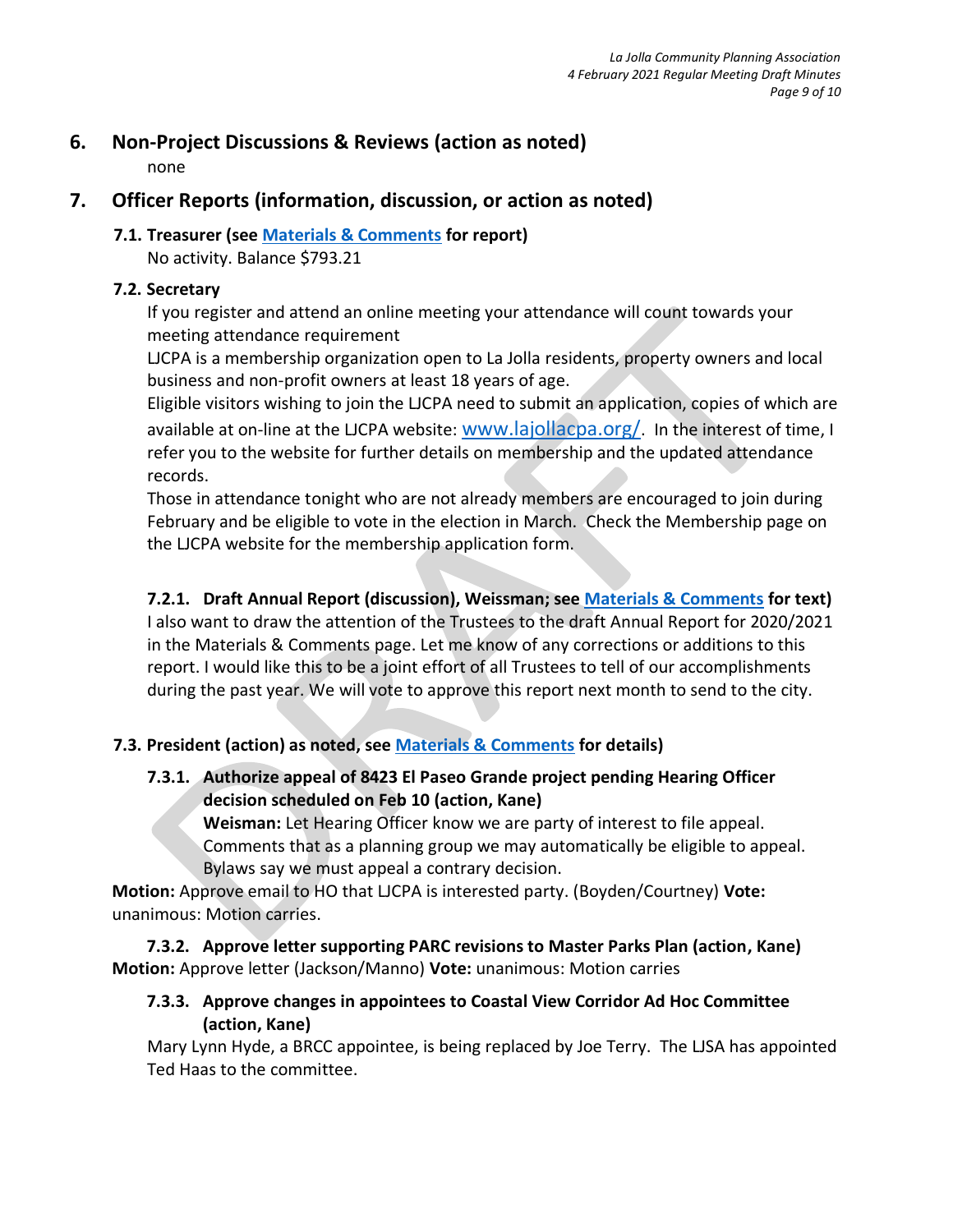### **6. Non-Project Discussions & Reviews (action as noted)**

none

## **7. Officer Reports (information, discussion, or action as noted)**

# **7.1. Treasurer (see [Materials & Comments](https://lajollacpa.org/ljcpa-trustees-2-4-2021-materials-comments/) for report)**

No activity. Balance \$793.21

#### **7.2. Secretary**

If you register and attend an online meeting your attendance will count towards your meeting attendance requirement

LJCPA is a membership organization open to La Jolla residents, property owners and local business and non-profit owners at least 18 years of age.

Eligible visitors wishing to join the LJCPA need to submit an application, copies of which are available at on-line at the LJCPA website: [www.lajollacpa.org/](http://www.lajollacpa.org/). In the interest of time, I refer you to the website for further details on membership and the updated attendance records.

Those in attendance tonight who are not already members are encouraged to join during February and be eligible to vote in the election in March. Check the Membership page on the LJCPA website for the membership application form.

## **7.2.1. Draft Annual Report (discussion), Weissman; see [Materials & Comments](https://lajollacpa.org/ljcpa-trustees-2-4-2021-materials-comments/) for text)**

I also want to draw the attention of the Trustees to the draft Annual Report for 2020/2021 in the Materials & Comments page. Let me know of any corrections or additions to this report. I would like this to be a joint effort of all Trustees to tell of our accomplishments during the past year. We will vote to approve this report next month to send to the city.

### **7.3. President (action) as noted, see [Materials & Comments](https://lajollacpa.org/ljcpa-trustees-2-4-2021-materials-comments/) for details)**

**7.3.1. Authorize appeal of 8423 El Paseo Grande project pending Hearing Officer decision scheduled on Feb 10 (action, Kane)**

**Weisman:** Let Hearing Officer know we are party of interest to file appeal. Comments that as a planning group we may automatically be eligible to appeal. Bylaws say we must appeal a contrary decision.

**Motion:** Approve email to HO that LJCPA is interested party. (Boyden/Courtney) **Vote:** unanimous: Motion carries.

**7.3.2. Approve letter supporting PARC revisions to Master Parks Plan (action, Kane) Motion:** Approve letter (Jackson/Manno) **Vote:** unanimous: Motion carries

### **7.3.3. Approve changes in appointees to Coastal View Corridor Ad Hoc Committee (action, Kane)**

Mary Lynn Hyde, a BRCC appointee, is being replaced by Joe Terry. The LJSA has appointed Ted Haas to the committee.